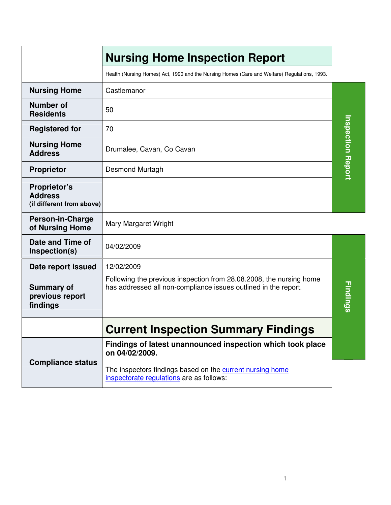|                                                             | <b>Nursing Home Inspection Report</b>                                                                                                  |                          |
|-------------------------------------------------------------|----------------------------------------------------------------------------------------------------------------------------------------|--------------------------|
|                                                             | Health (Nursing Homes) Act, 1990 and the Nursing Homes (Care and Welfare) Regulations, 1993.                                           |                          |
| <b>Nursing Home</b>                                         | Castlemanor                                                                                                                            |                          |
| <b>Number of</b><br><b>Residents</b>                        | 50                                                                                                                                     |                          |
| <b>Registered for</b>                                       | 70                                                                                                                                     |                          |
| <b>Nursing Home</b><br><b>Address</b>                       | Drumalee, Cavan, Co Cavan                                                                                                              | <b>Inspection Report</b> |
| <b>Proprietor</b>                                           | Desmond Murtagh                                                                                                                        |                          |
| Proprietor's<br><b>Address</b><br>(if different from above) |                                                                                                                                        |                          |
| <b>Person-in-Charge</b><br>of Nursing Home                  | Mary Margaret Wright                                                                                                                   |                          |
| Date and Time of<br>Inspection(s)                           | 04/02/2009                                                                                                                             |                          |
| Date report issued                                          | 12/02/2009                                                                                                                             |                          |
| <b>Summary of</b><br>previous report<br>findings            | Following the previous inspection from 28.08.2008, the nursing home<br>has addressed all non-compliance issues outlined in the report. | Findings                 |
|                                                             | <b>Current Inspection Summary Findings</b>                                                                                             |                          |
|                                                             | Findings of latest unannounced inspection which took place<br>on 04/02/2009.                                                           |                          |
| <b>Compliance status</b>                                    | The inspectors findings based on the current nursing home<br>inspectorate regulations are as follows:                                  |                          |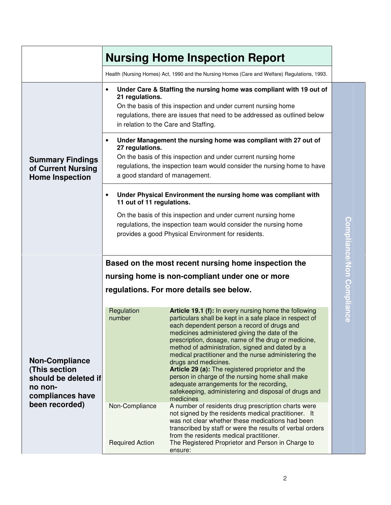|                                                                                               | <b>Nursing Home Inspection Report</b>                                                                                                                                                     |                                                                                                                                                                                                                                                                                                                                                                                                                                                                                                                                                                                                                                     |                           |  |  |
|-----------------------------------------------------------------------------------------------|-------------------------------------------------------------------------------------------------------------------------------------------------------------------------------------------|-------------------------------------------------------------------------------------------------------------------------------------------------------------------------------------------------------------------------------------------------------------------------------------------------------------------------------------------------------------------------------------------------------------------------------------------------------------------------------------------------------------------------------------------------------------------------------------------------------------------------------------|---------------------------|--|--|
|                                                                                               |                                                                                                                                                                                           | Health (Nursing Homes) Act, 1990 and the Nursing Homes (Care and Welfare) Regulations, 1993.                                                                                                                                                                                                                                                                                                                                                                                                                                                                                                                                        |                           |  |  |
|                                                                                               | $\bullet$<br>21 regulations.                                                                                                                                                              | Under Care & Staffing the nursing home was compliant with 19 out of<br>On the basis of this inspection and under current nursing home<br>regulations, there are issues that need to be addressed as outlined below<br>in relation to the Care and Staffing.                                                                                                                                                                                                                                                                                                                                                                         |                           |  |  |
| <b>Summary Findings</b><br>of Current Nursing<br><b>Home Inspection</b>                       | $\bullet$<br>27 regulations.                                                                                                                                                              | Under Management the nursing home was compliant with 27 out of<br>On the basis of this inspection and under current nursing home<br>regulations, the inspection team would consider the nursing home to have<br>a good standard of management.                                                                                                                                                                                                                                                                                                                                                                                      |                           |  |  |
|                                                                                               | $\bullet$<br>11 out of 11 regulations.                                                                                                                                                    | Under Physical Environment the nursing home was compliant with                                                                                                                                                                                                                                                                                                                                                                                                                                                                                                                                                                      |                           |  |  |
|                                                                                               | On the basis of this inspection and under current nursing home<br>regulations, the inspection team would consider the nursing home<br>provides a good Physical Environment for residents. |                                                                                                                                                                                                                                                                                                                                                                                                                                                                                                                                                                                                                                     | Compliance/Non Compliance |  |  |
|                                                                                               | Based on the most recent nursing home inspection the                                                                                                                                      |                                                                                                                                                                                                                                                                                                                                                                                                                                                                                                                                                                                                                                     |                           |  |  |
|                                                                                               | nursing home is non-compliant under one or more                                                                                                                                           |                                                                                                                                                                                                                                                                                                                                                                                                                                                                                                                                                                                                                                     |                           |  |  |
|                                                                                               | regulations. For more details see below.                                                                                                                                                  |                                                                                                                                                                                                                                                                                                                                                                                                                                                                                                                                                                                                                                     |                           |  |  |
| <b>Non-Compliance</b><br>(This section<br>should be deleted if<br>no non-<br>compliances have | Regulation<br>number                                                                                                                                                                      | Article 19.1 (f): In every nursing home the following<br>particulars shall be kept in a safe place in respect of<br>each dependent person a record of drugs and<br>medicines administered giving the date of the<br>prescription, dosage, name of the drug or medicine,<br>method of administration, signed and dated by a<br>medical practitioner and the nurse administering the<br>drugs and medicines.<br>Article 29 (a): The registered proprietor and the<br>person in charge of the nursing home shall make<br>adequate arrangements for the recording,<br>safekeeping, administering and disposal of drugs and<br>medicines |                           |  |  |
| been recorded)                                                                                | Non-Compliance                                                                                                                                                                            | A number of residents drug prescription charts were<br>not signed by the residents medical practitioner. It<br>was not clear whether these medications had been<br>transcribed by staff or were the results of verbal orders<br>from the residents medical practitioner.                                                                                                                                                                                                                                                                                                                                                            |                           |  |  |
|                                                                                               | <b>Required Action</b>                                                                                                                                                                    | The Registered Proprietor and Person in Charge to<br>ensure:                                                                                                                                                                                                                                                                                                                                                                                                                                                                                                                                                                        |                           |  |  |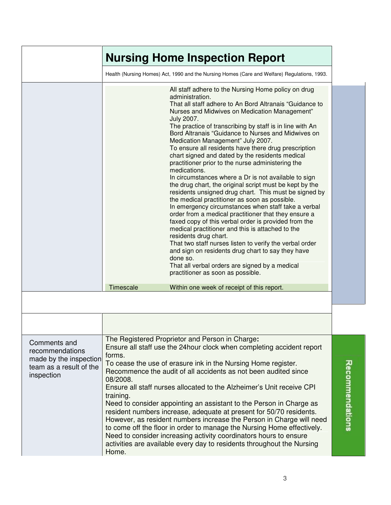|                                                                                                    | <b>Nursing Home Inspection Report</b>                                                                                                                                                                                                                                                                                                                                                                                                                                                                                                                                                                                                                                                                                                                                                                                                                                                                                                                                                                                                                                                                                                                                                                                                                                                                                |
|----------------------------------------------------------------------------------------------------|----------------------------------------------------------------------------------------------------------------------------------------------------------------------------------------------------------------------------------------------------------------------------------------------------------------------------------------------------------------------------------------------------------------------------------------------------------------------------------------------------------------------------------------------------------------------------------------------------------------------------------------------------------------------------------------------------------------------------------------------------------------------------------------------------------------------------------------------------------------------------------------------------------------------------------------------------------------------------------------------------------------------------------------------------------------------------------------------------------------------------------------------------------------------------------------------------------------------------------------------------------------------------------------------------------------------|
|                                                                                                    | Health (Nursing Homes) Act, 1990 and the Nursing Homes (Care and Welfare) Regulations, 1993.                                                                                                                                                                                                                                                                                                                                                                                                                                                                                                                                                                                                                                                                                                                                                                                                                                                                                                                                                                                                                                                                                                                                                                                                                         |
|                                                                                                    | All staff adhere to the Nursing Home policy on drug<br>administration.<br>That all staff adhere to An Bord Altranais "Guidance to<br>Nurses and Midwives on Medication Management"<br><b>July 2007.</b><br>The practice of transcribing by staff is in line with An<br>Bord Altranais "Guidance to Nurses and Midwives on<br>Medication Management" July 2007.<br>To ensure all residents have there drug prescription<br>chart signed and dated by the residents medical<br>practitioner prior to the nurse administering the<br>medications.<br>In circumstances where a Dr is not available to sign<br>the drug chart, the original script must be kept by the<br>residents unsigned drug chart. This must be signed by<br>the medical practitioner as soon as possible.<br>In emergency circumstances when staff take a verbal<br>order from a medical practitioner that they ensure a<br>faxed copy of this verbal order is provided from the<br>medical practitioner and this is attached to the<br>residents drug chart.<br>That two staff nurses listen to verify the verbal order<br>and sign on residents drug chart to say they have<br>done so.<br>That all verbal orders are signed by a medical<br>practitioner as soon as possible.<br><b>Timescale</b><br>Within one week of receipt of this report. |
|                                                                                                    |                                                                                                                                                                                                                                                                                                                                                                                                                                                                                                                                                                                                                                                                                                                                                                                                                                                                                                                                                                                                                                                                                                                                                                                                                                                                                                                      |
| Comments and<br>recommendations<br>made by the inspection<br>team as a result of the<br>inspection | The Registered Proprietor and Person in Charge:<br>Ensure all staff use the 24 hour clock when completing accident report<br>forms.<br>To cease the use of erasure ink in the Nursing Home register.<br>Recommence the audit of all accidents as not been audited since<br>08/2008.<br>Ensure all staff nurses allocated to the Alzheimer's Unit receive CPI<br>training.<br>Need to consider appointing an assistant to the Person in Charge as<br>resident numbers increase, adequate at present for 50/70 residents.<br>However, as resident numbers increase the Person in Charge will need<br>to come off the floor in order to manage the Nursing Home effectively.<br>Need to consider increasing activity coordinators hours to ensure<br>activities are available every day to residents throughout the Nursing<br>Home.                                                                                                                                                                                                                                                                                                                                                                                                                                                                                    |

 $\overline{3}$